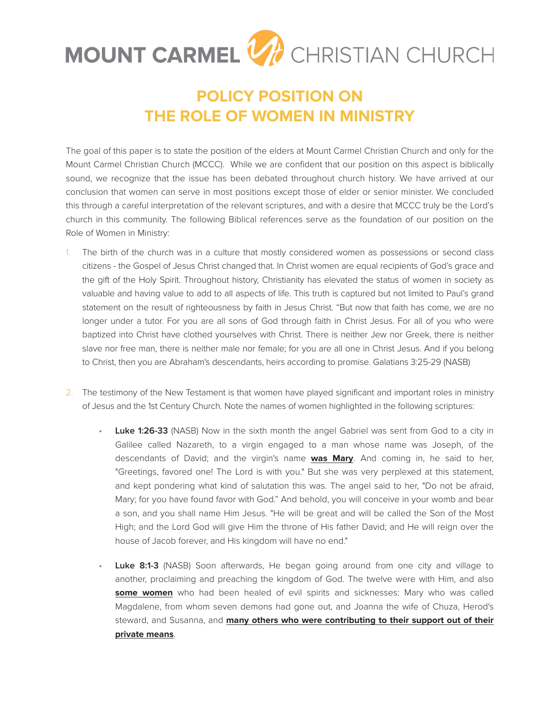## MOUNT CARMEL V CHRISTIAN CHURCH

## **POLICY POSITION ON THE ROLE OF WOMEN IN MINISTRY**

The goal of this paper is to state the position of the elders at Mount Carmel Christian Church and only for the Mount Carmel Christian Church (MCCC). While we are confident that our position on this aspect is biblically sound, we recognize that the issue has been debated throughout church history. We have arrived at our conclusion that women can serve in most positions except those of elder or senior minister. We concluded this through a careful interpretation of the relevant scriptures, and with a desire that MCCC truly be the Lord's church in this community. The following Biblical references serve as the foundation of our position on the Role of Women in Ministry:

- 1. The birth of the church was in a culture that mostly considered women as possessions or second class citizens - the Gospel of Jesus Christ changed that. In Christ women are equal recipients of God's grace and the gift of the Holy Spirit. Throughout history, Christianity has elevated the status of women in society as valuable and having value to add to all aspects of life. This truth is captured but not limited to Paul's grand statement on the result of righteousness by faith in Jesus Christ. "But now that faith has come, we are no longer under a tutor. For you are all sons of God through faith in Christ Jesus. For all of you who were baptized into Christ have clothed yourselves with Christ. There is neither Jew nor Greek, there is neither slave nor free man, there is neither male nor female; for you are all one in Christ Jesus. And if you belong to Christ, then you are Abraham's descendants, heirs according to promise. Galatians 3:25-29 (NASB)
- 2. The testimony of the New Testament is that women have played significant and important roles in ministry of Jesus and the 1st Century Church. Note the names of women highlighted in the following scriptures:
	- **Luke 1:26-33** (NASB) Now in the sixth month the angel Gabriel was sent from God to a city in Galilee called Nazareth, to a virgin engaged to a man whose name was Joseph, of the descendants of David; and the virgin's name **was Mary**. And coming in, he said to her, "Greetings, favored one! The Lord is with you." But she was very perplexed at this statement, and kept pondering what kind of salutation this was. The angel said to her, "Do not be afraid, Mary; for you have found favor with God." And behold, you will conceive in your womb and bear a son, and you shall name Him Jesus. "He will be great and will be called the Son of the Most High; and the Lord God will give Him the throne of His father David; and He will reign over the house of Jacob forever, and His kingdom will have no end."
	- **Luke 8:1-3** (NASB) Soon afterwards, He began going around from one city and village to another, proclaiming and preaching the kingdom of God. The twelve were with Him, and also **some women** who had been healed of evil spirits and sicknesses: Mary who was called Magdalene, from whom seven demons had gone out, and Joanna the wife of Chuza, Herod's steward, and Susanna, and **many others who were contributing to their support out of their private means**.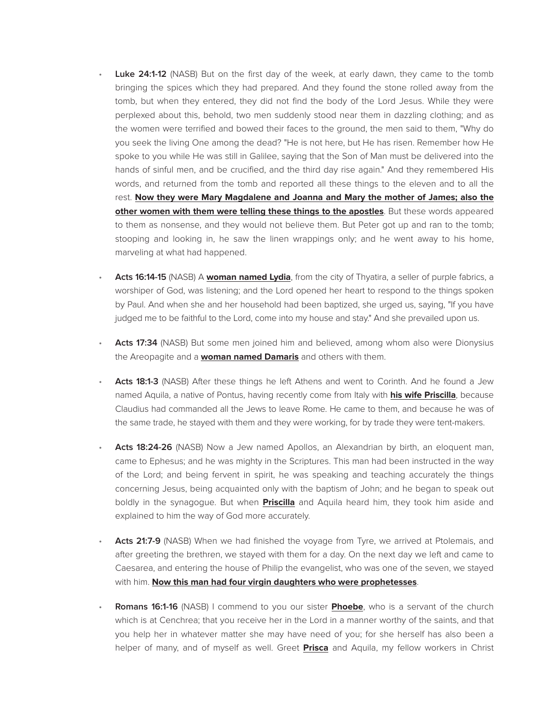- **Luke 24:1-12** (NASB) But on the first day of the week, at early dawn, they came to the tomb bringing the spices which they had prepared. And they found the stone rolled away from the tomb, but when they entered, they did not find the body of the Lord Jesus. While they were perplexed about this, behold, two men suddenly stood near them in dazzling clothing; and as the women were terrified and bowed their faces to the ground, the men said to them, "Why do you seek the living One among the dead? "He is not here, but He has risen. Remember how He spoke to you while He was still in Galilee, saying that the Son of Man must be delivered into the hands of sinful men, and be crucified, and the third day rise again." And they remembered His words, and returned from the tomb and reported all these things to the eleven and to all the rest. **Now they were Mary Magdalene and Joanna and Mary the mother of James; also the other women with them were telling these things to the apostles**. But these words appeared to them as nonsense, and they would not believe them. But Peter got up and ran to the tomb; stooping and looking in, he saw the linen wrappings only; and he went away to his home, marveling at what had happened.
- **Acts 16:14-15** (NASB) A **woman named Lydia**, from the city of Thyatira, a seller of purple fabrics, a worshiper of God, was listening; and the Lord opened her heart to respond to the things spoken by Paul. And when she and her household had been baptized, she urged us, saying, "If you have judged me to be faithful to the Lord, come into my house and stay." And she prevailed upon us.
- **Acts 17:34** (NASB) But some men joined him and believed, among whom also were Dionysius the Areopagite and a **woman named Damaris** and others with them.
- **Acts 18:1-3** (NASB) After these things he left Athens and went to Corinth. And he found a Jew named Aquila, a native of Pontus, having recently come from Italy with **his wife Priscilla**, because Claudius had commanded all the Jews to leave Rome. He came to them, and because he was of the same trade, he stayed with them and they were working, for by trade they were tent-makers.
- **Acts 18:24-26** (NASB) Now a Jew named Apollos, an Alexandrian by birth, an eloquent man, came to Ephesus; and he was mighty in the Scriptures. This man had been instructed in the way of the Lord; and being fervent in spirit, he was speaking and teaching accurately the things concerning Jesus, being acquainted only with the baptism of John; and he began to speak out boldly in the synagogue. But when **Priscilla** and Aquila heard him, they took him aside and explained to him the way of God more accurately.
- **Acts 21:7-9** (NASB) When we had finished the voyage from Tyre, we arrived at Ptolemais, and after greeting the brethren, we stayed with them for a day. On the next day we left and came to Caesarea, and entering the house of Philip the evangelist, who was one of the seven, we stayed with him. **Now this man had four virgin daughters who were prophetesses**.
- **Romans 16:1-16** (NASB) I commend to you our sister **Phoebe**, who is a servant of the church which is at Cenchrea; that you receive her in the Lord in a manner worthy of the saints, and that you help her in whatever matter she may have need of you; for she herself has also been a helper of many, and of myself as well. Greet **Prisca** and Aquila, my fellow workers in Christ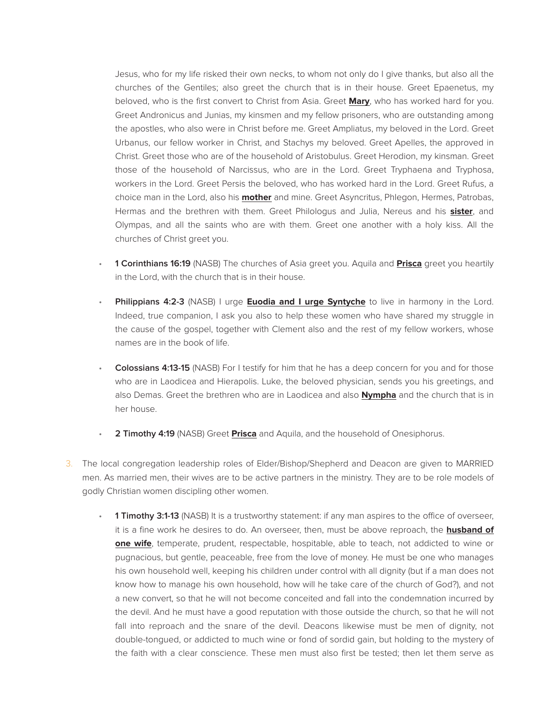Jesus, who for my life risked their own necks, to whom not only do I give thanks, but also all the churches of the Gentiles; also greet the church that is in their house. Greet Epaenetus, my beloved, who is the first convert to Christ from Asia. Greet **Mary**, who has worked hard for you. Greet Andronicus and Junias, my kinsmen and my fellow prisoners, who are outstanding among the apostles, who also were in Christ before me. Greet Ampliatus, my beloved in the Lord. Greet Urbanus, our fellow worker in Christ, and Stachys my beloved. Greet Apelles, the approved in Christ. Greet those who are of the household of Aristobulus. Greet Herodion, my kinsman. Greet those of the household of Narcissus, who are in the Lord. Greet Tryphaena and Tryphosa, workers in the Lord. Greet Persis the beloved, who has worked hard in the Lord. Greet Rufus, a choice man in the Lord, also his **mother** and mine. Greet Asyncritus, Phlegon, Hermes, Patrobas, Hermas and the brethren with them. Greet Philologus and Julia, Nereus and his **sister**, and Olympas, and all the saints who are with them. Greet one another with a holy kiss. All the churches of Christ greet you.

- **1 Corinthians 16:19** (NASB) The churches of Asia greet you. Aquila and **Prisca** greet you heartily in the Lord, with the church that is in their house.
- **Philippians 4:2-3** (NASB) I urge **Euodia and I urge Syntyche** to live in harmony in the Lord. Indeed, true companion, I ask you also to help these women who have shared my struggle in the cause of the gospel, together with Clement also and the rest of my fellow workers, whose names are in the book of life.
- **Colossians 4:13-15** (NASB) For I testify for him that he has a deep concern for you and for those who are in Laodicea and Hierapolis. Luke, the beloved physician, sends you his greetings, and also Demas. Greet the brethren who are in Laodicea and also **Nympha** and the church that is in her house.
- **2 Timothy 4:19** (NASB) Greet **Prisca** and Aquila, and the household of Onesiphorus.
- 3. The local congregation leadership roles of Elder/Bishop/Shepherd and Deacon are given to MARRIED men. As married men, their wives are to be active partners in the ministry. They are to be role models of godly Christian women discipling other women.
	- **1 Timothy 3:1-13** (NASB) It is a trustworthy statement: if any man aspires to the office of overseer, it is a fine work he desires to do. An overseer, then, must be above reproach, the **husband of one wife**, temperate, prudent, respectable, hospitable, able to teach, not addicted to wine or pugnacious, but gentle, peaceable, free from the love of money. He must be one who manages his own household well, keeping his children under control with all dignity (but if a man does not know how to manage his own household, how will he take care of the church of God?), and not a new convert, so that he will not become conceited and fall into the condemnation incurred by the devil. And he must have a good reputation with those outside the church, so that he will not fall into reproach and the snare of the devil. Deacons likewise must be men of dignity, not double-tongued, or addicted to much wine or fond of sordid gain, but holding to the mystery of the faith with a clear conscience. These men must also first be tested; then let them serve as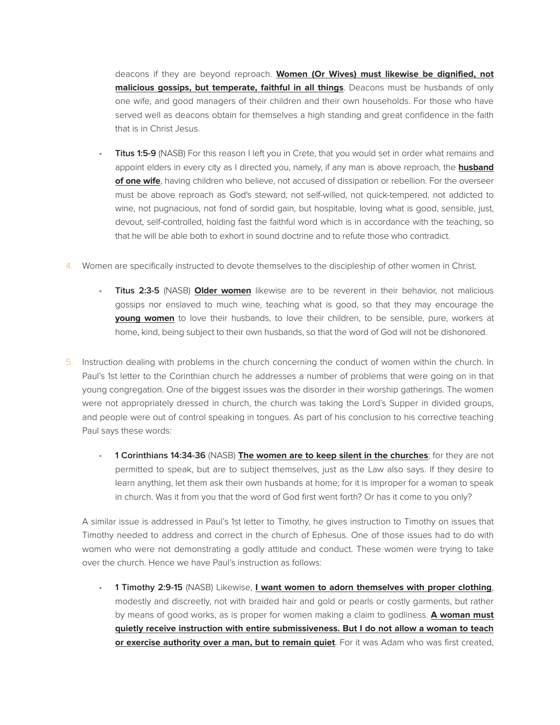deacons if they are beyond reproach. **Women (Or Wives) must likewise be dignified, not malicious gossips, but temperate, faithful in all things**. Deacons must be husbands of only one wife, and good managers of their children and their own households. For those who have served well as deacons obtain for themselves a high standing and great confidence in the faith that is in Christ Jesus.

- **Titus 1:5-9** (NASB) For this reason I left you in Crete, that you would set in order what remains and appoint elders in every city as I directed you, namely, if any man is above reproach, the **husband of one wife**, having children who believe, not accused of dissipation or rebellion. For the overseer must be above reproach as God's steward, not self-willed, not quick-tempered, not addicted to wine, not pugnacious, not fond of sordid gain, but hospitable, loving what is good, sensible, just, devout, self-controlled, holding fast the faithful word which is in accordance with the teaching, so that he will be able both to exhort in sound doctrine and to refute those who contradict.
- 4. Women are specifically instructed to devote themselves to the discipleship of other women in Christ.
	- **Titus 2:3-5** (NASB) **Older women** likewise are to be reverent in their behavior, not malicious gossips nor enslaved to much wine, teaching what is good, so that they may encourage the **young women** to love their husbands, to love their children, to be sensible, pure, workers at home, kind, being subject to their own husbands, so that the word of God will not be dishonored.
- 5. Instruction dealing with problems in the church concerning the conduct of women within the church. In Paul's 1st letter to the Corinthian church he addresses a number of problems that were going on in that young congregation. One of the biggest issues was the disorder in their worship gatherings. The women were not appropriately dressed in church, the church was taking the Lord's Supper in divided groups, and people were out of control speaking in tongues. As part of his conclusion to his corrective teaching Paul says these words:
	- **1 Corinthians 14:34-36** (NASB) **The women are to keep silent in the churches**; for they are not permitted to speak, but are to subject themselves, just as the Law also says. If they desire to learn anything, let them ask their own husbands at home; for it is improper for a woman to speak in church. Was it from you that the word of God first went forth? Or has it come to you only?

A similar issue is addressed in Paul's 1st letter to Timothy, he gives instruction to Timothy on issues that Timothy needed to address and correct in the church of Ephesus. One of those issues had to do with women who were not demonstrating a godly attitude and conduct. These women were trying to take over the church. Hence we have Paul's instruction as follows:

• **1 Timothy 2:9-15** (NASB) Likewise, **I want women to adorn themselves with proper clothing**, modestly and discreetly, not with braided hair and gold or pearls or costly garments, but rather by means of good works, as is proper for women making a claim to godliness. **A woman must quietly receive instruction with entire submissiveness. But I do not allow a woman to teach or exercise authority over a man, but to remain quiet**. For it was Adam who was first created,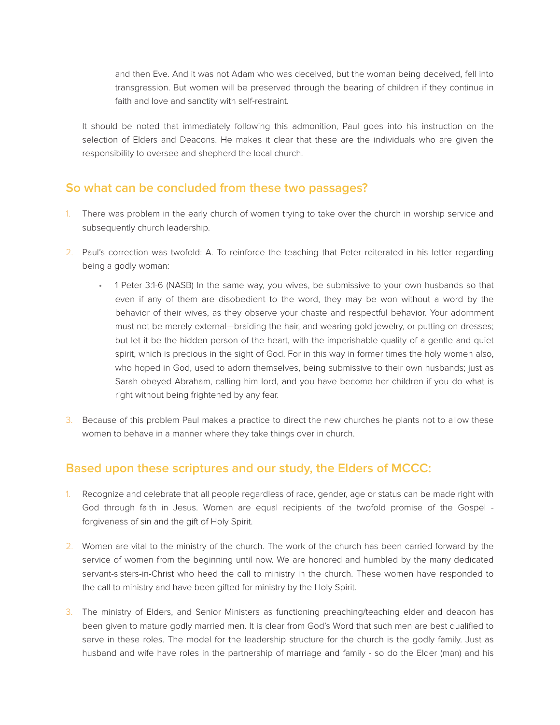and then Eve. And it was not Adam who was deceived, but the woman being deceived, fell into transgression. But women will be preserved through the bearing of children if they continue in faith and love and sanctity with self-restraint.

It should be noted that immediately following this admonition, Paul goes into his instruction on the selection of Elders and Deacons. He makes it clear that these are the individuals who are given the responsibility to oversee and shepherd the local church.

## **So what can be concluded from these two passages?**

- 1. There was problem in the early church of women trying to take over the church in worship service and subsequently church leadership.
- 2. Paul's correction was twofold: A. To reinforce the teaching that Peter reiterated in his letter regarding being a godly woman:
	- 1 Peter 3:1-6 (NASB) In the same way, you wives, be submissive to your own husbands so that even if any of them are disobedient to the word, they may be won without a word by the behavior of their wives, as they observe your chaste and respectful behavior. Your adornment must not be merely external—braiding the hair, and wearing gold jewelry, or putting on dresses; but let it be the hidden person of the heart, with the imperishable quality of a gentle and quiet spirit, which is precious in the sight of God. For in this way in former times the holy women also, who hoped in God, used to adorn themselves, being submissive to their own husbands; just as Sarah obeyed Abraham, calling him lord, and you have become her children if you do what is right without being frightened by any fear.
- 3. Because of this problem Paul makes a practice to direct the new churches he plants not to allow these women to behave in a manner where they take things over in church.

## **Based upon these scriptures and our study, the Elders of MCCC:**

- 1. Recognize and celebrate that all people regardless of race, gender, age or status can be made right with God through faith in Jesus. Women are equal recipients of the twofold promise of the Gospel forgiveness of sin and the gift of Holy Spirit.
- 2. Women are vital to the ministry of the church. The work of the church has been carried forward by the service of women from the beginning until now. We are honored and humbled by the many dedicated servant-sisters-in-Christ who heed the call to ministry in the church. These women have responded to the call to ministry and have been gifted for ministry by the Holy Spirit.
- 3. The ministry of Elders, and Senior Ministers as functioning preaching/teaching elder and deacon has been given to mature godly married men. It is clear from God's Word that such men are best qualified to serve in these roles. The model for the leadership structure for the church is the godly family. Just as husband and wife have roles in the partnership of marriage and family - so do the Elder (man) and his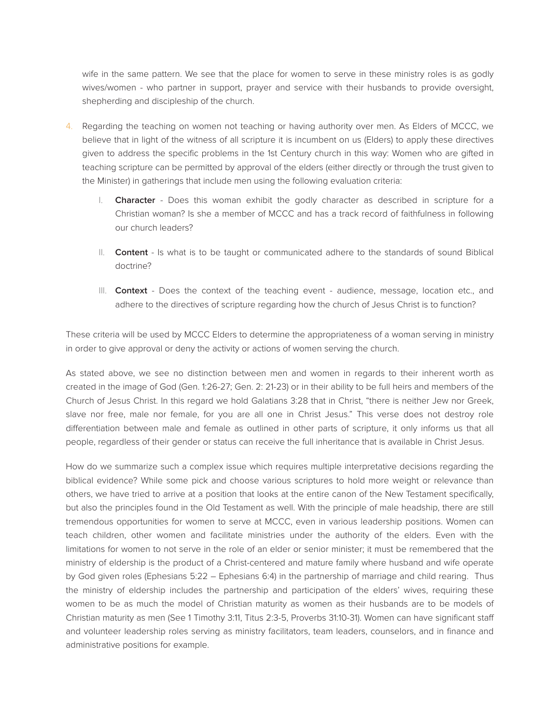wife in the same pattern. We see that the place for women to serve in these ministry roles is as godly wives/women - who partner in support, prayer and service with their husbands to provide oversight, shepherding and discipleship of the church.

- 4. Regarding the teaching on women not teaching or having authority over men. As Elders of MCCC, we believe that in light of the witness of all scripture it is incumbent on us (Elders) to apply these directives given to address the specific problems in the 1st Century church in this way: Women who are gifted in teaching scripture can be permitted by approval of the elders (either directly or through the trust given to the Minister) in gatherings that include men using the following evaluation criteria:
	- I. **Character**  Does this woman exhibit the godly character as described in scripture for a Christian woman? Is she a member of MCCC and has a track record of faithfulness in following our church leaders?
	- II. **Content**  Is what is to be taught or communicated adhere to the standards of sound Biblical doctrine?
	- III. **Context** Does the context of the teaching event audience, message, location etc., and adhere to the directives of scripture regarding how the church of Jesus Christ is to function?

These criteria will be used by MCCC Elders to determine the appropriateness of a woman serving in ministry in order to give approval or deny the activity or actions of women serving the church.

As stated above, we see no distinction between men and women in regards to their inherent worth as created in the image of God (Gen. 1:26-27; Gen. 2: 21-23) or in their ability to be full heirs and members of the Church of Jesus Christ. In this regard we hold Galatians 3:28 that in Christ, "there is neither Jew nor Greek, slave nor free, male nor female, for you are all one in Christ Jesus." This verse does not destroy role differentiation between male and female as outlined in other parts of scripture, it only informs us that all people, regardless of their gender or status can receive the full inheritance that is available in Christ Jesus.

How do we summarize such a complex issue which requires multiple interpretative decisions regarding the biblical evidence? While some pick and choose various scriptures to hold more weight or relevance than others, we have tried to arrive at a position that looks at the entire canon of the New Testament specifically, but also the principles found in the Old Testament as well. With the principle of male headship, there are still tremendous opportunities for women to serve at MCCC, even in various leadership positions. Women can teach children, other women and facilitate ministries under the authority of the elders. Even with the limitations for women to not serve in the role of an elder or senior minister; it must be remembered that the ministry of eldership is the product of a Christ-centered and mature family where husband and wife operate by God given roles (Ephesians 5:22 – Ephesians 6:4) in the partnership of marriage and child rearing. Thus the ministry of eldership includes the partnership and participation of the elders' wives, requiring these women to be as much the model of Christian maturity as women as their husbands are to be models of Christian maturity as men (See 1 Timothy 3:11, Titus 2:3-5, Proverbs 31:10-31). Women can have significant staff and volunteer leadership roles serving as ministry facilitators, team leaders, counselors, and in finance and administrative positions for example.